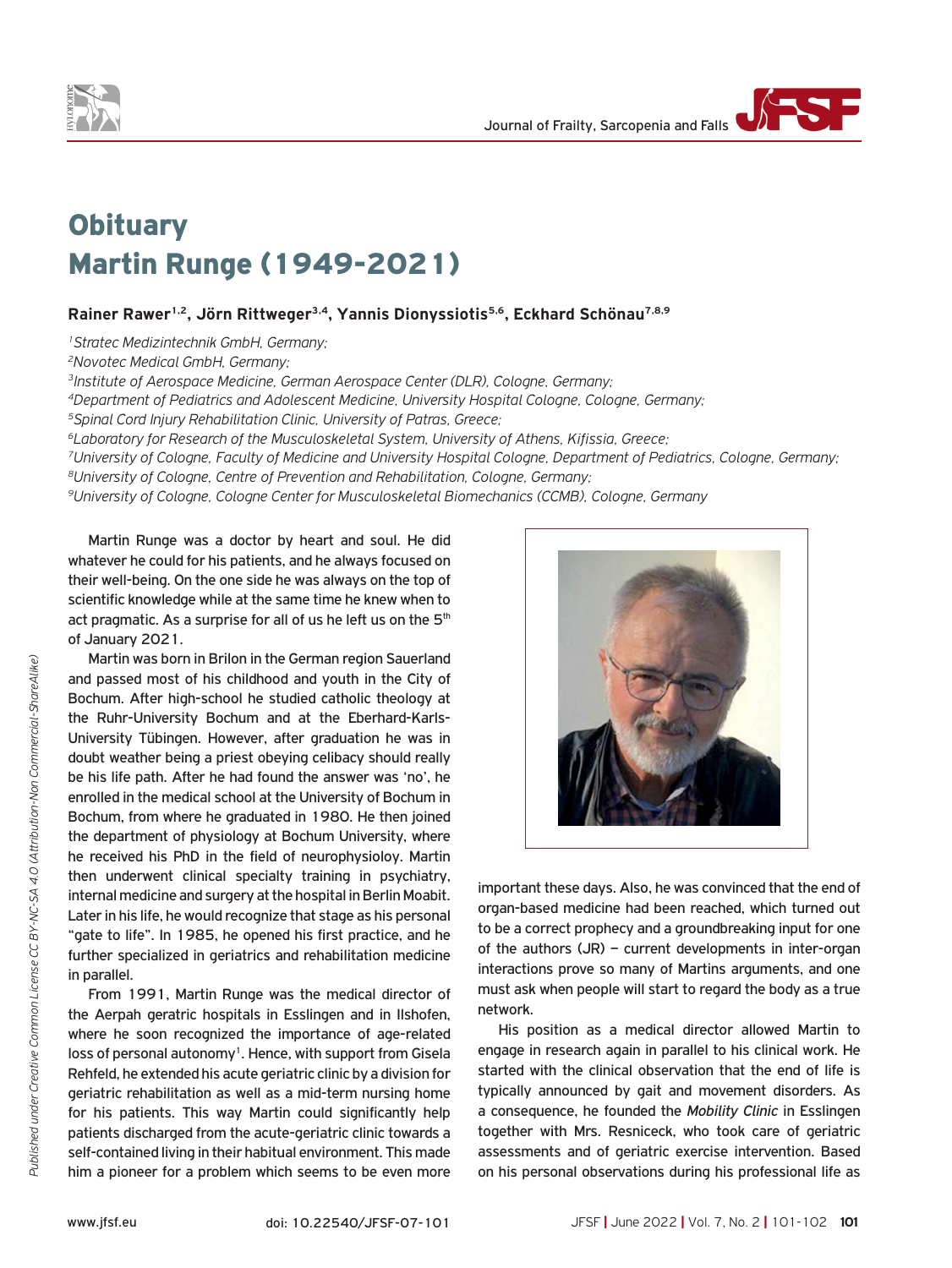



## **Obituary** Martin Runge (1949-2021)

## Rainer Rawer<sup>1,2</sup>, Jörn Rittweger<sup>3,4</sup>, Yannis Dionyssiotis<sup>5,6</sup>, Eckhard Schönau<sup>7,8,9</sup>

*1Stratec Medizintechnik GmbH, Germany;*

*2Novotec Medical GmbH, Germany;*

*3Institute of Aerospace Medicine, German Aerospace Center (DLR), Cologne, Germany;*

*4Department of Pediatrics and Adolescent Medicine, University Hospital Cologne, Cologne, Germany;*

*5Spinal Cord Injury Rehabilitation Clinic, University of Patras, Greece;*

*6Laboratory for Research of the Musculoskeletal System, University of Athens, Kifissia, Greece;*

*7University of Cologne, Faculty of Medicine and University Hospital Cologne, Department of Pediatrics, Cologne, Germany; 8University of Cologne, Centre of Prevention and Rehabilitation, Cologne, Germany;*

*9University of Cologne, Cologne Center for Musculoskeletal Biomechanics (CCMB), Cologne, Germany*

Martin Runge was a doctor by heart and soul. He did whatever he could for his patients, and he always focused on their well-being. On the one side he was always on the top of scientific knowledge while at the same time he knew when to act pragmatic. As a surprise for all of us he left us on the 5<sup>th</sup> of January 2021.

Martin was born in Brilon in the German region Sauerland and passed most of his childhood and youth in the City of Bochum. After high-school he studied catholic theology at the Ruhr-University Bochum and at the Eberhard-Karls-University Tübingen. However, after graduation he was in doubt weather being a priest obeying celibacy should really be his life path. After he had found the answer was 'no', he enrolled in the medical school at the University of Bochum in Bochum, from where he graduated in 1980. He then joined the department of physiology at Bochum University, where he received his PhD in the field of neurophysioloy. Martin then underwent clinical specialty training in psychiatry, internal medicine and surgery at the hospital in Berlin Moabit. Later in his life, he would recognize that stage as his personal "gate to life". In 1985, he opened his first practice, and he further specialized in geriatrics and rehabilitation medicine in parallel.

From 1991, Martin Runge was the medical director of the Aerpah geratric hospitals in Esslingen and in Ilshofen, where he soon recognized the importance of age-related loss of personal autonomy<sup>1</sup>. Hence, with support from Gisela Rehfeld, he extended his acute geriatric clinic by a division for geriatric rehabilitation as well as a mid-term nursing home for his patients. This way Martin could significantly help patients discharged from the acute-geriatric clinic towards a self-contained living in their habitual environment. This made him a pioneer for a problem which seems to be even more



important these days. Also, he was convinced that the end of organ-based medicine had been reached, which turned out to be a correct prophecy and a groundbreaking input for one of the authors (JR) – current developments in inter-organ interactions prove so many of Martins arguments, and one must ask when people will start to regard the body as a true network.

His position as a medical director allowed Martin to engage in research again in parallel to his clinical work. He started with the clinical observation that the end of life is typically announced by gait and movement disorders. As a consequence, he founded the *Mobility Clinic* in Esslingen together with Mrs. Resniceck, who took care of geriatric assessments and of geriatric exercise intervention. Based on his personal observations during his professional life as